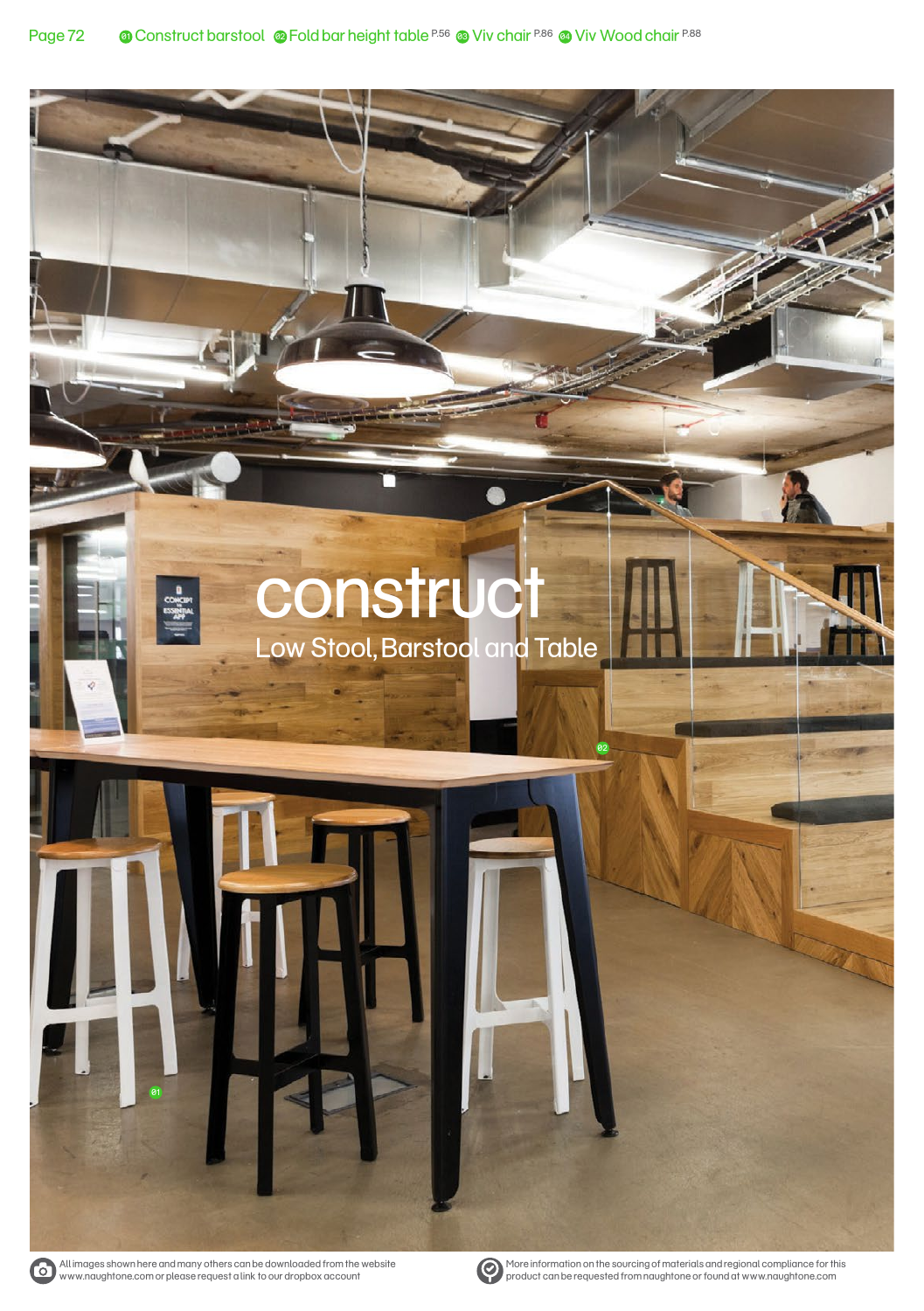# **construct** Low Stool, Barstool and Table

01



More information on the sourcing of materials and regional compliance for this product can be requested from naughtone or found at www.naughtone.com

02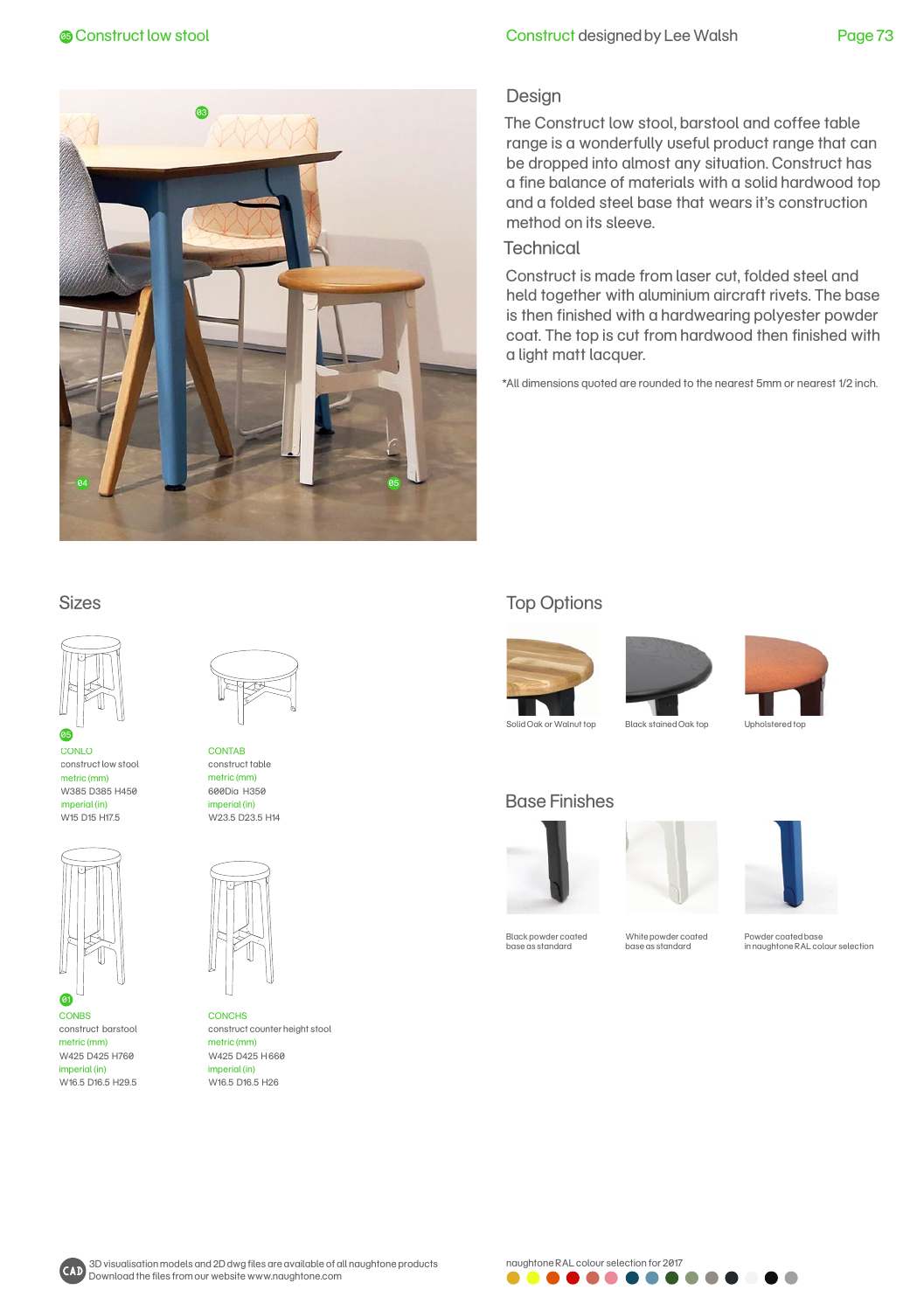

# **Construct low stool construct designed by Lee Walsh** Page 73

## Design

The Construct low stool, barstool and coffee table range is a wonderfully useful product range that can be dropped into almost any situation. Construct has a fine balance of materials with a solid hardwood top and a folded steel base that wears it's construction method on its sleeve.

## **Technical**

Construct is made from laser cut, folded steel and held together with aluminium aircraft rivets. The base is then finished with a hardwearing polyester powder coat. The top is cut from hardwood then finished with a light matt lacquer.

\*All dimensions quoted are rounded to the nearest 5mm or nearest 1/2 inch.

#### Sizes



CONLO construct low stool metric (mm) W385 D385 H450 imperial (in) W15 D15 H17.5



**CONBS** construct barstool metric (mm) W425 D425 H760 imperial (in) W16.5 D16.5 H29.5 01



**CONTAB** construct table metric (mm) 600Dia H350 imperial (in) W23.5 D23.5 H14



**CONCHS** construct counter height stool metric (mm) W425 D425 H 660 imperial (in) W16.5 D16.5 H26

# Top Options







Solid Oak or Walnut top Black stained Oak top Upholstered top

## Base Finishes





Black powder coated base as standard

White powder coated base as standard

Powder coated base in naughtone RAL colour selection



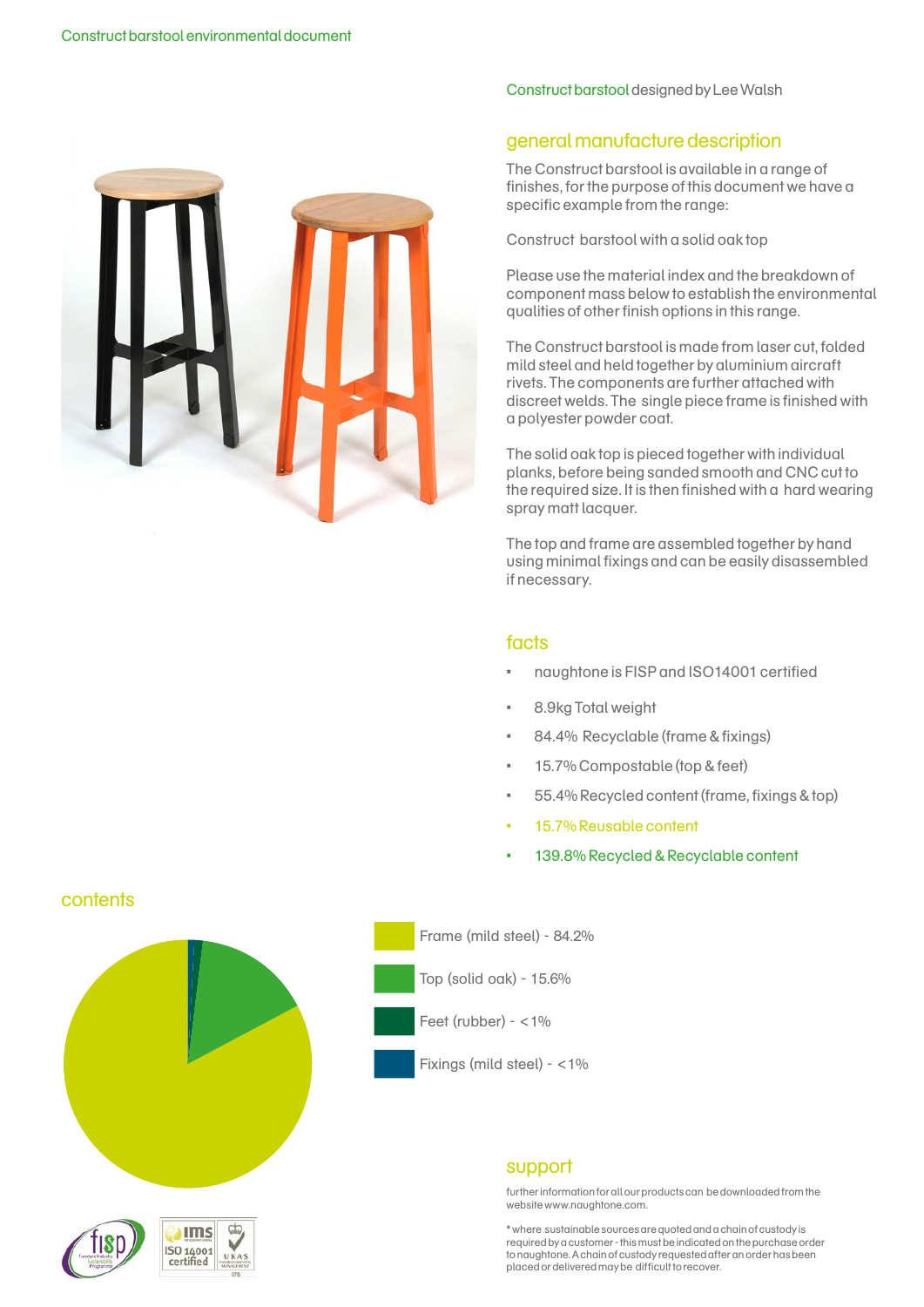

#### Construct barstool designed by Lee Walsh

# general manufacture description

The Construct barstool is available in a range of finishes, for the purpose of this document we have a specific example from the range:

Construct barstool with a solid oak top

Please use the material index and the breakdown of component mass below to establish the environmental qualities of other finish options in this range.

The Construct barstool is made from laser cut, folded mild steel and held together by aluminium aircraft rivets. The components are further attached with discreet welds. The single piece frame is finished with a polyester powder coat.

The solid oak top is pieced together with individual planks, before being sanded smooth and CNC cut to the required size. It is then finished with a hard wearing spray matt lacquer.

The top and frame are assembled together by hand using minimal fixings and can be easily disassembled if necessary.

# facts

- naughtone is FISP and ISO14001 certified
- 8.9kg Total weight
- 84.4% Recyclable (frame & fixings)
- 15.7% Compostable (top & feet)
- 55.4% Recycled content (frame, fixings & top)
- 15.7% Reusable content
- 139.8% Recycled & Recyclable content

#### **contents**



d.

**Ims** ISO 14001 certified

Frame (mild steel) - 84.2%

Top (solid oak) - 15.6%

Feet (rubber) - <1%

Fixings (mild steel) - <1%

## support

further information for all our products can be downloaded from the website www.naughtone.com.

\* where sustainable sources are quoted and a chain of custody is required by a customer - this must be indicated on the purchase order to naughtone. A chain of custody requested after an order has been placed or delivered may be difficult to recover.